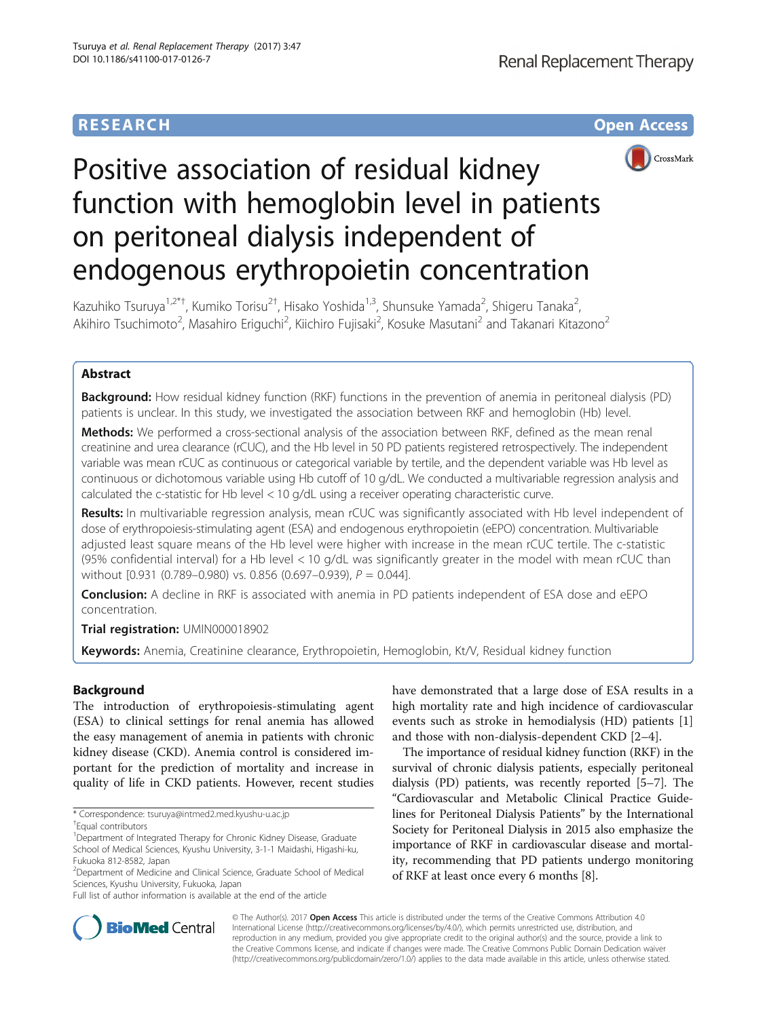# **RESEARCH CHE Open Access**



# Positive association of residual kidney function with hemoglobin level in patients on peritoneal dialysis independent of endogenous erythropoietin concentration

Kazuhiko Tsuruya<sup>1,2\*†</sup>, Kumiko Torisu<sup>2†</sup>, Hisako Yoshida<sup>1,3</sup>, Shunsuke Yamada<sup>2</sup>, Shigeru Tanaka<sup>2</sup> .<br>, Akihiro Tsuchimoto<sup>2</sup>, Masahiro Eriguchi<sup>2</sup>, Kiichiro Fujisaki<sup>2</sup>, Kosuke Masutani<sup>2</sup> and Takanari Kitazono<sup>2</sup>

# Abstract

**Background:** How residual kidney function (RKF) functions in the prevention of anemia in peritoneal dialysis (PD) patients is unclear. In this study, we investigated the association between RKF and hemoglobin (Hb) level.

Methods: We performed a cross-sectional analysis of the association between RKF, defined as the mean renal creatinine and urea clearance (rCUC), and the Hb level in 50 PD patients registered retrospectively. The independent variable was mean rCUC as continuous or categorical variable by tertile, and the dependent variable was Hb level as continuous or dichotomous variable using Hb cutoff of 10 g/dL. We conducted a multivariable regression analysis and calculated the c-statistic for Hb level < 10 g/dL using a receiver operating characteristic curve.

Results: In multivariable regression analysis, mean rCUC was significantly associated with Hb level independent of dose of erythropoiesis-stimulating agent (ESA) and endogenous erythropoietin (eEPO) concentration. Multivariable adjusted least square means of the Hb level were higher with increase in the mean rCUC tertile. The c-statistic (95% confidential interval) for a Hb level < 10 g/dL was significantly greater in the model with mean rCUC than without [0.931 (0.789–0.980) vs. 0.856 (0.697–0.939), P = 0.044].

**Conclusion:** A decline in RKF is associated with anemia in PD patients independent of ESA dose and eEPO concentration.

Trial registration: [UMIN000018902](https://upload.umin.ac.jp/cgi-open-bin/ctr/ctr.cgi?function=brows&action=brows&recptno=R000017878&type=summary&language=J)

Keywords: Anemia, Creatinine clearance, Erythropoietin, Hemoglobin, Kt/V, Residual kidney function

# Background

The introduction of erythropoiesis-stimulating agent (ESA) to clinical settings for renal anemia has allowed the easy management of anemia in patients with chronic kidney disease (CKD). Anemia control is considered important for the prediction of mortality and increase in quality of life in CKD patients. However, recent studies have demonstrated that a large dose of ESA results in a high mortality rate and high incidence of cardiovascular events such as stroke in hemodialysis (HD) patients [\[1](#page-7-0)] and those with non-dialysis-dependent CKD [[2](#page-7-0)–[4\]](#page-7-0).

The importance of residual kidney function (RKF) in the survival of chronic dialysis patients, especially peritoneal dialysis (PD) patients, was recently reported [\[5](#page-7-0)–[7\]](#page-7-0). The "Cardiovascular and Metabolic Clinical Practice Guidelines for Peritoneal Dialysis Patients" by the International Society for Peritoneal Dialysis in 2015 also emphasize the importance of RKF in cardiovascular disease and mortality, recommending that PD patients undergo monitoring of RKF at least once every 6 months [[8](#page-7-0)].



© The Author(s). 2017 **Open Access** This article is distributed under the terms of the Creative Commons Attribution 4.0 International License [\(http://creativecommons.org/licenses/by/4.0/](http://creativecommons.org/licenses/by/4.0/)), which permits unrestricted use, distribution, and reproduction in any medium, provided you give appropriate credit to the original author(s) and the source, provide a link to the Creative Commons license, and indicate if changes were made. The Creative Commons Public Domain Dedication waiver [\(http://creativecommons.org/publicdomain/zero/1.0/](http://creativecommons.org/publicdomain/zero/1.0/)) applies to the data made available in this article, unless otherwise stated.

<sup>\*</sup> Correspondence: [tsuruya@intmed2.med.kyushu-u.ac.jp](mailto:tsuruya@intmed2.med.kyushu-u.ac.jp) †

Equal contributors

<sup>&</sup>lt;sup>1</sup>Department of Integrated Therapy for Chronic Kidney Disease, Graduate School of Medical Sciences, Kyushu University, 3-1-1 Maidashi, Higashi-ku, Fukuoka 812-8582, Japan

<sup>&</sup>lt;sup>2</sup> Department of Medicine and Clinical Science, Graduate School of Medical Sciences, Kyushu University, Fukuoka, Japan

Full list of author information is available at the end of the article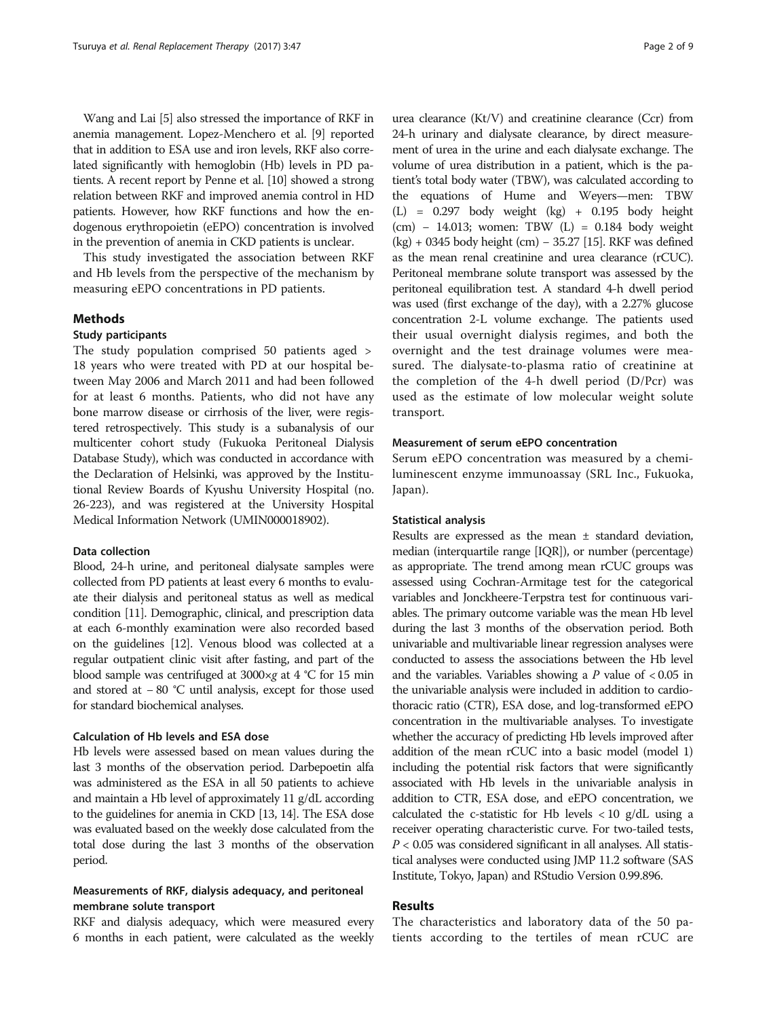Wang and Lai [[5\]](#page-7-0) also stressed the importance of RKF in anemia management. Lopez-Menchero et al. [\[9\]](#page-7-0) reported that in addition to ESA use and iron levels, RKF also correlated significantly with hemoglobin (Hb) levels in PD patients. A recent report by Penne et al. [[10](#page-7-0)] showed a strong relation between RKF and improved anemia control in HD patients. However, how RKF functions and how the endogenous erythropoietin (eEPO) concentration is involved in the prevention of anemia in CKD patients is unclear.

This study investigated the association between RKF and Hb levels from the perspective of the mechanism by measuring eEPO concentrations in PD patients.

## Methods

## Study participants

The study population comprised 50 patients aged > 18 years who were treated with PD at our hospital between May 2006 and March 2011 and had been followed for at least 6 months. Patients, who did not have any bone marrow disease or cirrhosis of the liver, were registered retrospectively. This study is a subanalysis of our multicenter cohort study (Fukuoka Peritoneal Dialysis Database Study), which was conducted in accordance with the Declaration of Helsinki, was approved by the Institutional Review Boards of Kyushu University Hospital (no. 26-223), and was registered at the University Hospital Medical Information Network (UMIN000018902).

## Data collection

Blood, 24-h urine, and peritoneal dialysate samples were collected from PD patients at least every 6 months to evaluate their dialysis and peritoneal status as well as medical condition [[11](#page-7-0)]. Demographic, clinical, and prescription data at each 6-monthly examination were also recorded based on the guidelines [\[12\]](#page-7-0). Venous blood was collected at a regular outpatient clinic visit after fasting, and part of the blood sample was centrifuged at  $3000 \times g$  at  $4 °C$  for 15 min and stored at − 80 °C until analysis, except for those used for standard biochemical analyses.

## Calculation of Hb levels and ESA dose

Hb levels were assessed based on mean values during the last 3 months of the observation period. Darbepoetin alfa was administered as the ESA in all 50 patients to achieve and maintain a Hb level of approximately 11 g/dL according to the guidelines for anemia in CKD [\[13](#page-7-0), [14](#page-7-0)]. The ESA dose was evaluated based on the weekly dose calculated from the total dose during the last 3 months of the observation period.

# Measurements of RKF, dialysis adequacy, and peritoneal membrane solute transport

RKF and dialysis adequacy, which were measured every 6 months in each patient, were calculated as the weekly

urea clearance (Kt/V) and creatinine clearance (Ccr) from 24-h urinary and dialysate clearance, by direct measurement of urea in the urine and each dialysate exchange. The volume of urea distribution in a patient, which is the patient's total body water (TBW), was calculated according to the equations of Hume and Weyers—men: TBW (L) = 0.297 body weight (kg) + 0.195 body height (cm) − 14.013; women: TBW (L) = 0.184 body weight (kg) + 0345 body height (cm) − 35.27 [\[15](#page-7-0)]. RKF was defined as the mean renal creatinine and urea clearance (rCUC). Peritoneal membrane solute transport was assessed by the peritoneal equilibration test. A standard 4-h dwell period was used (first exchange of the day), with a 2.27% glucose concentration 2-L volume exchange. The patients used their usual overnight dialysis regimes, and both the overnight and the test drainage volumes were measured. The dialysate-to-plasma ratio of creatinine at the completion of the 4-h dwell period (D/Pcr) was used as the estimate of low molecular weight solute transport.

# Measurement of serum eEPO concentration

Serum eEPO concentration was measured by a chemiluminescent enzyme immunoassay (SRL Inc., Fukuoka, Japan).

## Statistical analysis

Results are expressed as the mean ± standard deviation, median (interquartile range [IQR]), or number (percentage) as appropriate. The trend among mean rCUC groups was assessed using Cochran-Armitage test for the categorical variables and Jonckheere-Terpstra test for continuous variables. The primary outcome variable was the mean Hb level during the last 3 months of the observation period. Both univariable and multivariable linear regression analyses were conducted to assess the associations between the Hb level and the variables. Variables showing a  $P$  value of  $<0.05$  in the univariable analysis were included in addition to cardiothoracic ratio (CTR), ESA dose, and log-transformed eEPO concentration in the multivariable analyses. To investigate whether the accuracy of predicting Hb levels improved after addition of the mean rCUC into a basic model (model 1) including the potential risk factors that were significantly associated with Hb levels in the univariable analysis in addition to CTR, ESA dose, and eEPO concentration, we calculated the c-statistic for Hb levels  $\langle 10 \text{ g/d} \rangle$  using a receiver operating characteristic curve. For two-tailed tests,  $P < 0.05$  was considered significant in all analyses. All statistical analyses were conducted using JMP 11.2 software (SAS Institute, Tokyo, Japan) and RStudio Version 0.99.896.

# Results

The characteristics and laboratory data of the 50 patients according to the tertiles of mean rCUC are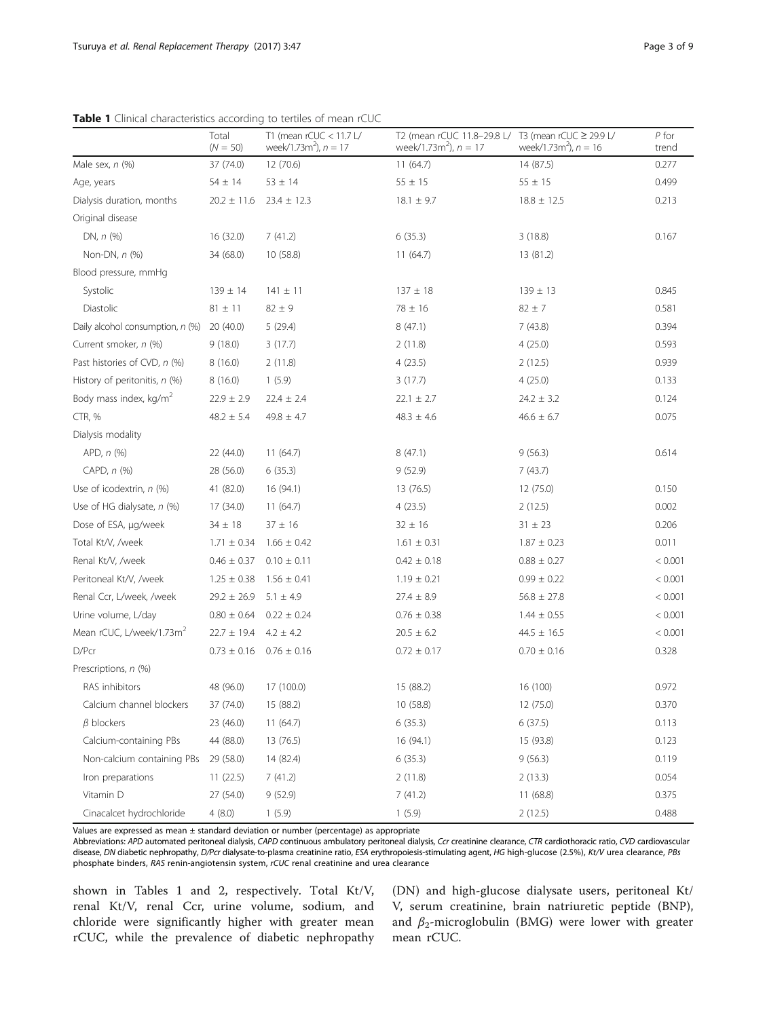|                                      | Total<br>$(N = 50)$ | T1 (mean $rCUC < 11.7 U$<br>week/1.73 $m^2$ ), $n = 17$ | T2 (mean rCUC 11.8-29.8 L/<br>week/1.73 $m^2$ ), $n = 17$ | T3 (mean rCUC $\geq$ 29.9 L/<br>week/1.73 $m^2$ ), $n = 16$ | $P$ for<br>trend |
|--------------------------------------|---------------------|---------------------------------------------------------|-----------------------------------------------------------|-------------------------------------------------------------|------------------|
| Male sex, $n$ (%)                    | 37 (74.0)           | 12 (70.6)                                               | 11(64.7)                                                  | 14(87.5)                                                    | 0.277            |
| Age, years                           | $54 \pm 14$         | $53 \pm 14$                                             | $55 \pm 15$                                               | $55 \pm 15$                                                 | 0.499            |
| Dialysis duration, months            | $20.2 \pm 11.6$     | $23.4 \pm 12.3$                                         | $18.1 \pm 9.7$                                            | $18.8 \pm 12.5$                                             | 0.213            |
| Original disease                     |                     |                                                         |                                                           |                                                             |                  |
| DN, $n$ (%)                          | 16 (32.0)           | 7(41.2)                                                 | 6(35.3)                                                   | 3(18.8)                                                     | 0.167            |
| Non-DN, n (%)                        | 34 (68.0)           | 10(58.8)                                                | 11(64.7)                                                  | 13 (81.2)                                                   |                  |
| Blood pressure, mmHg                 |                     |                                                         |                                                           |                                                             |                  |
| Systolic                             | $139 \pm 14$        | $141 \pm 11$                                            | $137 \pm 18$                                              | $139 \pm 13$                                                | 0.845            |
| Diastolic                            | $81 \pm 11$         | $82 \pm 9$                                              | $78 \pm 16$                                               | $82 \pm 7$                                                  | 0.581            |
| Daily alcohol consumption, n (%)     | 20 (40.0)           | 5(29.4)                                                 | 8(47.1)                                                   | 7(43.8)                                                     | 0.394            |
| Current smoker, n (%)                | 9(18.0)             | 3(17.7)                                                 | 2(11.8)                                                   | 4(25.0)                                                     | 0.593            |
| Past histories of CVD, n (%)         | 8(16.0)             | 2(11.8)                                                 | 4(23.5)                                                   | 2(12.5)                                                     | 0.939            |
| History of peritonitis, n (%)        | 8(16.0)             | 1(5.9)                                                  | 3(17.7)                                                   | 4(25.0)                                                     | 0.133            |
| Body mass index, kg/m <sup>2</sup>   | $22.9 \pm 2.9$      | $22.4 \pm 2.4$                                          | $22.1 \pm 2.7$                                            | $24.2 \pm 3.2$                                              | 0.124            |
| CTR, %                               | $48.2 \pm 5.4$      | $49.8 \pm 4.7$                                          | $48.3 \pm 4.6$                                            | $46.6 \pm 6.7$                                              | 0.075            |
| Dialysis modality                    |                     |                                                         |                                                           |                                                             |                  |
| $APD, n$ $(\%)$                      | 22 (44.0)           | 11(64.7)                                                | 8(47.1)                                                   | 9(56.3)                                                     | 0.614            |
| CAPD, $n$ $%$                        | 28 (56.0)           | 6(35.3)                                                 | 9(52.9)                                                   | 7(43.7)                                                     |                  |
| Use of icodextrin, n (%)             | 41 (82.0)           | 16 (94.1)                                               | 13 (76.5)                                                 | 12 (75.0)                                                   | 0.150            |
| Use of HG dialysate, $n$ (%)         | 17 (34.0)           | 11(64.7)                                                | 4(23.5)                                                   | 2(12.5)                                                     | 0.002            |
| Dose of ESA, µg/week                 | $34 \pm 18$         | $37 \pm 16$                                             | $32 \pm 16$                                               | $31 \pm 23$                                                 | 0.206            |
| Total Kt/V, /week                    | $1.71 \pm 0.34$     | $1.66 \pm 0.42$                                         | $1.61 \pm 0.31$                                           | $1.87 \pm 0.23$                                             | 0.011            |
| Renal Kt/V, /week                    | $0.46 \pm 0.37$     | $0.10 \pm 0.11$                                         | $0.42 \pm 0.18$                                           | $0.88 \pm 0.27$                                             | < 0.001          |
| Peritoneal Kt/V, /week               | $1.25 \pm 0.38$     | $1.56 \pm 0.41$                                         | $1.19 \pm 0.21$                                           | $0.99 \pm 0.22$                                             | < 0.001          |
| Renal Ccr, L/week, /week             | $29.2 \pm 26.9$     | $5.1 \pm 4.9$                                           | $27.4 \pm 8.9$                                            | $56.8 \pm 27.8$                                             | < 0.001          |
| Urine volume, L/day                  | $0.80 \pm 0.64$     | $0.22 \pm 0.24$                                         | $0.76 \pm 0.38$                                           | $1.44 \pm 0.55$                                             | < 0.001          |
| Mean rCUC, L/week/1.73m <sup>2</sup> | $22.7 \pm 19.4$     | $4.2 \pm 4.2$                                           | $20.5 \pm 6.2$                                            | $44.5 \pm 16.5$                                             | < 0.001          |
| D/Pcr                                | $0.73 \pm 0.16$     | $0.76 \pm 0.16$                                         | $0.72 \pm 0.17$                                           | $0.70 \pm 0.16$                                             | 0.328            |
| Prescriptions, n (%)                 |                     |                                                         |                                                           |                                                             |                  |
| RAS inhibitors                       | 48 (96.0)           | 17 (100.0)                                              | 15 (88.2)                                                 | 16 (100)                                                    | 0.972            |
| Calcium channel blockers             | 37 (74.0)           | 15 (88.2)                                               | 10 (58.8)                                                 | 12 (75.0)                                                   | 0.370            |
| $\beta$ blockers                     | 23 (46.0)           | 11(64.7)                                                | 6(35.3)                                                   | 6(37.5)                                                     | 0.113            |
| Calcium-containing PBs               | 44 (88.0)           | 13 (76.5)                                               | 16 (94.1)                                                 | 15 (93.8)                                                   | 0.123            |
| Non-calcium containing PBs           | 29 (58.0)           | 14 (82.4)                                               | 6(35.3)                                                   | 9(56.3)                                                     | 0.119            |
| Iron preparations                    | 11(22.5)            | 7(41.2)                                                 | 2(11.8)                                                   | 2(13.3)                                                     | 0.054            |
| Vitamin D                            | 27 (54.0)           | 9(52.9)                                                 | 7(41.2)                                                   | 11(68.8)                                                    | 0.375            |
| Cinacalcet hydrochloride             | 4(8.0)              | 1(5.9)                                                  | 1(5.9)                                                    | 2(12.5)                                                     | 0.488            |

**Table 1** Clinical characteristics according to tertiles of mean rCUC

Values are expressed as mean ± standard deviation or number (percentage) as appropriate

Abbreviations: APD automated peritoneal dialysis, CAPD continuous ambulatory peritoneal dialysis, Ccr creatinine clearance, CTR cardiothoracic ratio, CVD cardiovascular disease, DN diabetic nephropathy, D/Pcr dialysate-to-plasma creatinine ratio, ESA erythropoiesis-stimulating agent, HG high-glucose (2.5%), Kt/V urea clearance, PBs phosphate binders, RAS renin-angiotensin system, rCUC renal creatinine and urea clearance

shown in Tables 1 and [2,](#page-3-0) respectively. Total Kt/V, renal Kt/V, renal Ccr, urine volume, sodium, and chloride were significantly higher with greater mean rCUC, while the prevalence of diabetic nephropathy (DN) and high-glucose dialysate users, peritoneal Kt/ V, serum creatinine, brain natriuretic peptide (BNP), and  $\beta_2$ -microglobulin (BMG) were lower with greater mean rCUC.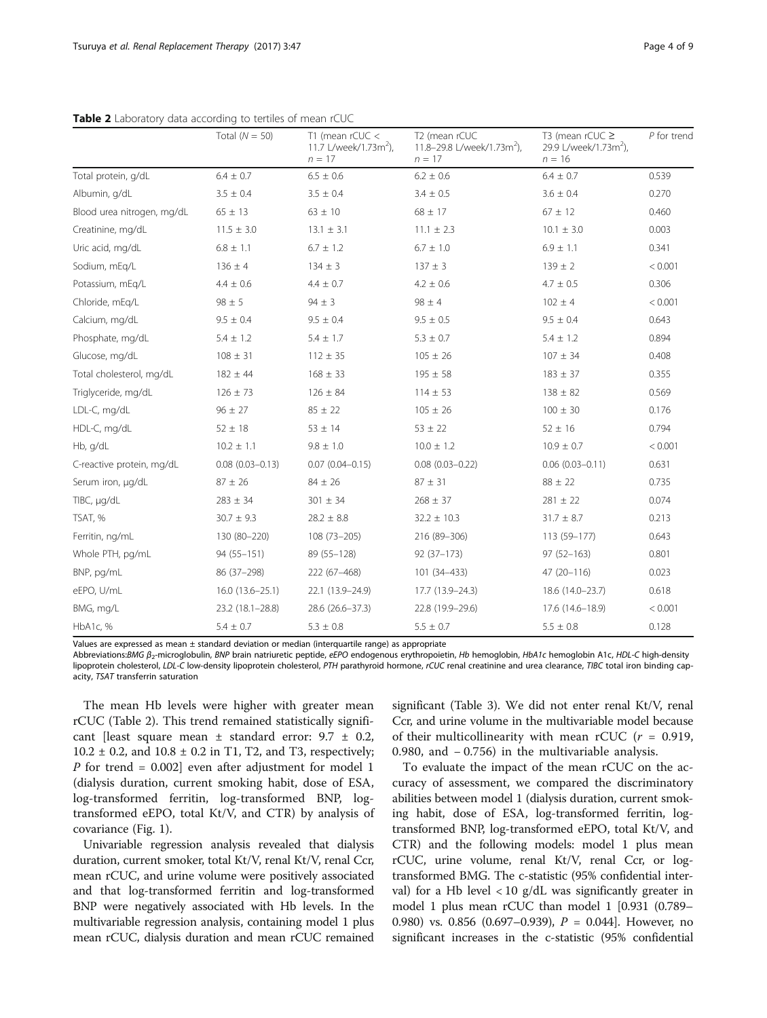|                            | Total $(N = 50)$    | T1 (mean $rCUC <$<br>11.7 L/week/1.73m <sup>2</sup> ),<br>$n = 17$ | T2 (mean rCUC<br>11.8-29.8 L/week/1.73m <sup>2</sup> ),<br>$n = 17$ | T3 (mean rCUC $\geq$<br>29.9 L/week/1.73m <sup>2</sup> ),<br>$n = 16$ | $P$ for trend |
|----------------------------|---------------------|--------------------------------------------------------------------|---------------------------------------------------------------------|-----------------------------------------------------------------------|---------------|
| Total protein, g/dL        | $6.4 \pm 0.7$       | $6.5 \pm 0.6$                                                      | $6.2 \pm 0.6$                                                       | $6.4 \pm 0.7$                                                         | 0.539         |
| Albumin, g/dL              | $3.5 \pm 0.4$       | $3.5 \pm 0.4$                                                      | $3.4 \pm 0.5$                                                       | $3.6 \pm 0.4$                                                         | 0.270         |
| Blood urea nitrogen, mg/dL | $65 \pm 13$         | $63 \pm 10$                                                        | $68 \pm 17$                                                         | $67 \pm 12$                                                           | 0.460         |
| Creatinine, mg/dL          | $11.5 \pm 3.0$      | $13.1 \pm 3.1$                                                     | $11.1 \pm 2.3$                                                      | $10.1 \pm 3.0$                                                        | 0.003         |
| Uric acid, mg/dL           | $6.8 \pm 1.1$       | $6.7 \pm 1.2$                                                      | $6.7 \pm 1.0$                                                       | $6.9 \pm 1.1$                                                         | 0.341         |
| Sodium, mEq/L              | $136 \pm 4$         | $134 \pm 3$                                                        | $137 \pm 3$                                                         | $139 \pm 2$                                                           | < 0.001       |
| Potassium, mEg/L           | $4.4 \pm 0.6$       | $4.4 \pm 0.7$                                                      | $4.2 \pm 0.6$                                                       | $4.7 \pm 0.5$                                                         | 0.306         |
| Chloride, mEq/L            | $98 \pm 5$          | $94 \pm 3$                                                         | $98 \pm 4$                                                          | $102 \pm 4$                                                           | < 0.001       |
| Calcium, mg/dL             | $9.5 \pm 0.4$       | $9.5 \pm 0.4$                                                      | $9.5 \pm 0.5$                                                       | $9.5 \pm 0.4$                                                         | 0.643         |
| Phosphate, mg/dL           | $5.4 \pm 1.2$       | $5.4 \pm 1.7$                                                      | $5.3 \pm 0.7$                                                       | $5.4 \pm 1.2$                                                         | 0.894         |
| Glucose, mg/dL             | $108 \pm 31$        | $112 \pm 35$                                                       | $105 \pm 26$                                                        | $107 \pm 34$                                                          | 0.408         |
| Total cholesterol, mg/dL   | $182 \pm 44$        | $168 \pm 33$                                                       | $195 \pm 58$                                                        | $183 \pm 37$                                                          | 0.355         |
| Triglyceride, mg/dL        | $126 \pm 73$        | $126 \pm 84$                                                       | $114 \pm 53$                                                        | $138 \pm 82$                                                          | 0.569         |
| LDL-C, mg/dL               | $96 \pm 27$         | $85 \pm 22$                                                        | $105 \pm 26$                                                        | $100 \pm 30$                                                          | 0.176         |
| HDL-C, mg/dL               | $52 \pm 18$         | $53 \pm 14$                                                        | $53 \pm 22$                                                         | $52 \pm 16$                                                           | 0.794         |
| Hb, g/dL                   | $10.2 \pm 1.1$      | $9.8 \pm 1.0$                                                      | $10.0 \pm 1.2$                                                      | $10.9 \pm 0.7$                                                        | < 0.001       |
| C-reactive protein, mg/dL  | $0.08(0.03 - 0.13)$ | $0.07(0.04 - 0.15)$                                                | $0.08(0.03 - 0.22)$                                                 | $0.06(0.03 - 0.11)$                                                   | 0.631         |
| Serum iron, µg/dL          | $87 \pm 26$         | $84 \pm 26$                                                        | $87 \pm 31$                                                         | $88 \pm 22$                                                           | 0.735         |
| TIBC, µg/dL                | $283 \pm 34$        | $301 \pm 34$                                                       | $268 \pm 37$                                                        | $281 \pm 22$                                                          | 0.074         |
| TSAT, %                    | $30.7 \pm 9.3$      | $28.2 \pm 8.8$                                                     | $32.2 \pm 10.3$                                                     | $31.7 \pm 8.7$                                                        | 0.213         |
| Ferritin, ng/mL            | 130 (80-220)        | 108 (73-205)                                                       | 216 (89-306)                                                        | 113 (59-177)                                                          | 0.643         |
| Whole PTH, pg/mL           | 94 (55-151)         | 89 (55-128)                                                        | $92(37-173)$                                                        | $97(52 - 163)$                                                        | 0.801         |
| BNP, pg/mL                 | 86 (37-298)         | 222 (67-468)                                                       | 101 (34-433)                                                        | 47 (20-116)                                                           | 0.023         |
| eEPO, U/mL                 | 16.0 (13.6-25.1)    | 22.1 (13.9-24.9)                                                   | 17.7 (13.9–24.3)                                                    | 18.6 (14.0-23.7)                                                      | 0.618         |
| BMG, mg/L                  | 23.2 (18.1-28.8)    | 28.6 (26.6-37.3)                                                   | 22.8 (19.9-29.6)                                                    | 17.6 (14.6-18.9)                                                      | < 0.001       |
| HbA1c, %                   | $5.4 \pm 0.7$       | $5.3 \pm 0.8$                                                      | $5.5 \pm 0.7$                                                       | $5.5 \pm 0.8$                                                         | 0.128         |

<span id="page-3-0"></span>Table 2 Laboratory data according to tertiles of mean rCUC

Values are expressed as mean  $\pm$  standard deviation or median (interquartile range) as appropriate

Abbreviations:BMG β<sub>2</sub>-microglobulin, BNP brain natriuretic peptide, eEPO endogenous erythropoietin, Hb hemoglobin, HbA1c hemoglobin A1c, HDL-C high-density lipoprotein cholesterol, LDL-C low-density lipoprotein cholesterol, PTH parathyroid hormone, rCUC renal creatinine and urea clearance, TIBC total iron binding capacity, TSAT transferrin saturation

The mean Hb levels were higher with greater mean rCUC (Table 2). This trend remained statistically significant [least square mean  $\pm$  standard error: 9.7  $\pm$  0.2,  $10.2 \pm 0.2$ , and  $10.8 \pm 0.2$  in T1, T2, and T3, respectively; P for trend =  $0.002$ ] even after adjustment for model 1 (dialysis duration, current smoking habit, dose of ESA, log-transformed ferritin, log-transformed BNP, logtransformed eEPO, total Kt/V, and CTR) by analysis of covariance (Fig. [1](#page-4-0)).

Univariable regression analysis revealed that dialysis duration, current smoker, total Kt/V, renal Kt/V, renal Ccr, mean rCUC, and urine volume were positively associated and that log-transformed ferritin and log-transformed BNP were negatively associated with Hb levels. In the multivariable regression analysis, containing model 1 plus mean rCUC, dialysis duration and mean rCUC remained

significant (Table [3](#page-5-0)). We did not enter renal Kt/V, renal Ccr, and urine volume in the multivariable model because of their multicollinearity with mean rCUC ( $r = 0.919$ , 0.980, and − 0.756) in the multivariable analysis.

To evaluate the impact of the mean rCUC on the accuracy of assessment, we compared the discriminatory abilities between model 1 (dialysis duration, current smoking habit, dose of ESA, log-transformed ferritin, logtransformed BNP, log-transformed eEPO, total Kt/V, and CTR) and the following models: model 1 plus mean rCUC, urine volume, renal Kt/V, renal Ccr, or logtransformed BMG. The c-statistic (95% confidential interval) for a Hb level  $<$  10 g/dL was significantly greater in model 1 plus mean rCUC than model 1 [0.931 (0.789– 0.980) vs. 0.856 (0.697–0.939),  $P = 0.044$ . However, no significant increases in the c-statistic (95% confidential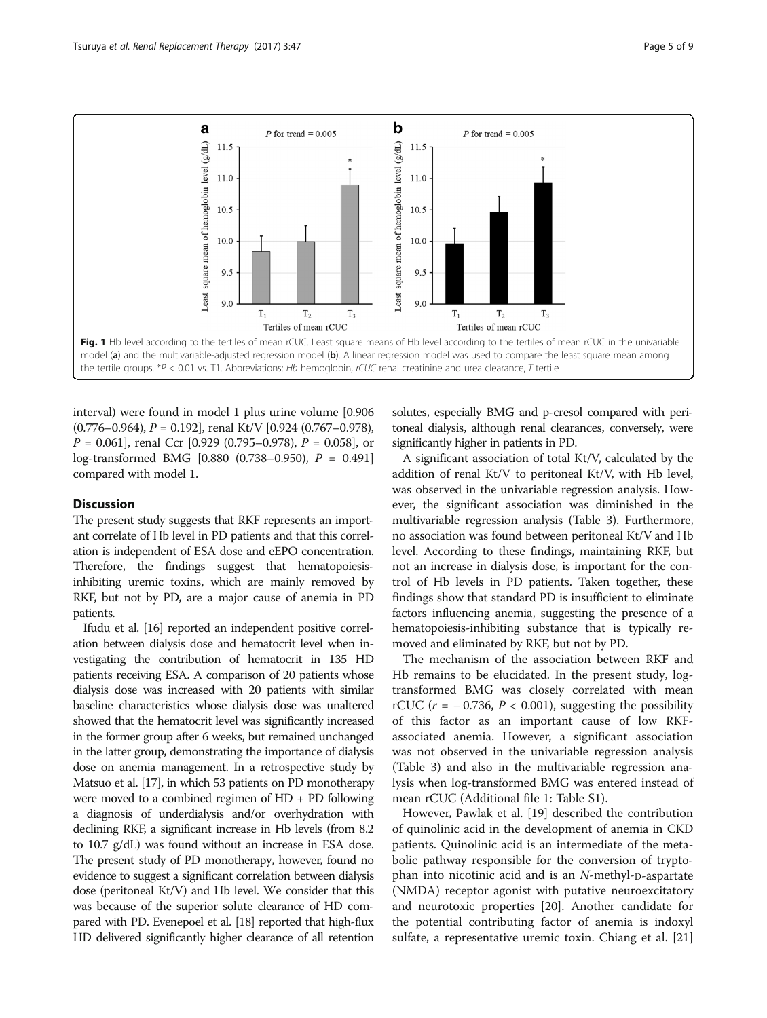<span id="page-4-0"></span>

interval) were found in model 1 plus urine volume [0.906  $(0.776-0.964)$ ,  $P = 0.192$ ], renal Kt/V [0.924 (0.767-0.978),  $P = 0.061$ , renal Ccr [0.929 (0.795–0.978),  $P = 0.058$ , or log-transformed BMG [0.880 (0.738–0.950), P = 0.491] compared with model 1.

## **Discussion**

The present study suggests that RKF represents an important correlate of Hb level in PD patients and that this correlation is independent of ESA dose and eEPO concentration. Therefore, the findings suggest that hematopoiesisinhibiting uremic toxins, which are mainly removed by RKF, but not by PD, are a major cause of anemia in PD patients.

Ifudu et al. [\[16\]](#page-7-0) reported an independent positive correlation between dialysis dose and hematocrit level when investigating the contribution of hematocrit in 135 HD patients receiving ESA. A comparison of 20 patients whose dialysis dose was increased with 20 patients with similar baseline characteristics whose dialysis dose was unaltered showed that the hematocrit level was significantly increased in the former group after 6 weeks, but remained unchanged in the latter group, demonstrating the importance of dialysis dose on anemia management. In a retrospective study by Matsuo et al. [[17](#page-7-0)], in which 53 patients on PD monotherapy were moved to a combined regimen of HD + PD following a diagnosis of underdialysis and/or overhydration with declining RKF, a significant increase in Hb levels (from 8.2 to 10.7 g/dL) was found without an increase in ESA dose. The present study of PD monotherapy, however, found no evidence to suggest a significant correlation between dialysis dose (peritoneal Kt/V) and Hb level. We consider that this was because of the superior solute clearance of HD compared with PD. Evenepoel et al. [[18](#page-7-0)] reported that high-flux HD delivered significantly higher clearance of all retention solutes, especially BMG and p-cresol compared with peritoneal dialysis, although renal clearances, conversely, were significantly higher in patients in PD.

A significant association of total Kt/V, calculated by the addition of renal Kt/V to peritoneal Kt/V, with Hb level, was observed in the univariable regression analysis. However, the significant association was diminished in the multivariable regression analysis (Table [3\)](#page-5-0). Furthermore, no association was found between peritoneal Kt/V and Hb level. According to these findings, maintaining RKF, but not an increase in dialysis dose, is important for the control of Hb levels in PD patients. Taken together, these findings show that standard PD is insufficient to eliminate factors influencing anemia, suggesting the presence of a hematopoiesis-inhibiting substance that is typically removed and eliminated by RKF, but not by PD.

The mechanism of the association between RKF and Hb remains to be elucidated. In the present study, logtransformed BMG was closely correlated with mean rCUC ( $r = -0.736$ ,  $P < 0.001$ ), suggesting the possibility of this factor as an important cause of low RKFassociated anemia. However, a significant association was not observed in the univariable regression analysis (Table [3](#page-5-0)) and also in the multivariable regression analysis when log-transformed BMG was entered instead of mean rCUC (Additional file [1:](#page-7-0) Table S1).

However, Pawlak et al. [[19\]](#page-7-0) described the contribution of quinolinic acid in the development of anemia in CKD patients. Quinolinic acid is an intermediate of the metabolic pathway responsible for the conversion of tryptophan into nicotinic acid and is an <sup>N</sup>-methyl-D-aspartate (NMDA) receptor agonist with putative neuroexcitatory and neurotoxic properties [\[20](#page-7-0)]. Another candidate for the potential contributing factor of anemia is indoxyl sulfate, a representative uremic toxin. Chiang et al. [[21](#page-7-0)]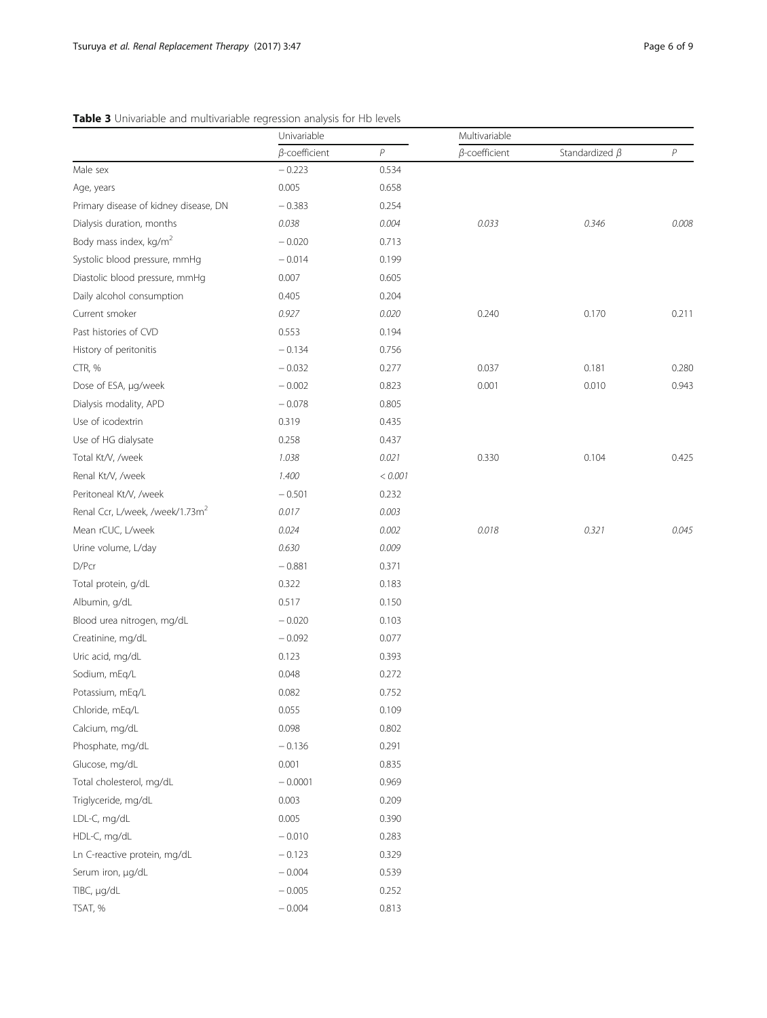# <span id="page-5-0"></span>Table 3 Univariable and multivariable regression analysis for Hb levels

|                                             | Univariable          |         | Multivariable        |                      |       |
|---------------------------------------------|----------------------|---------|----------------------|----------------------|-------|
|                                             | $\beta$ -coefficient | P       | $\beta$ -coefficient | Standardized $\beta$ | P     |
| Male sex                                    | $-0.223$             | 0.534   |                      |                      |       |
| Age, years                                  | 0.005                | 0.658   |                      |                      |       |
| Primary disease of kidney disease, DN       | $-0.383$             | 0.254   |                      |                      |       |
| Dialysis duration, months                   | 0.038                | 0.004   | 0.033                | 0.346                | 0.008 |
| Body mass index, kg/m <sup>2</sup>          | $-0.020$             | 0.713   |                      |                      |       |
| Systolic blood pressure, mmHg               | $-0.014$             | 0.199   |                      |                      |       |
| Diastolic blood pressure, mmHg              | 0.007                | 0.605   |                      |                      |       |
| Daily alcohol consumption                   | 0.405                | 0.204   |                      |                      |       |
| Current smoker                              | 0.927                | 0.020   | 0.240                | 0.170                | 0.211 |
| Past histories of CVD                       | 0.553                | 0.194   |                      |                      |       |
| History of peritonitis                      | $-0.134$             | 0.756   |                      |                      |       |
| CTR, %                                      | $-0.032$             | 0.277   | 0.037                | 0.181                | 0.280 |
| Dose of ESA, µg/week                        | $-0.002$             | 0.823   | 0.001                | 0.010                | 0.943 |
| Dialysis modality, APD                      | $-0.078$             | 0.805   |                      |                      |       |
| Use of icodextrin                           | 0.319                | 0.435   |                      |                      |       |
| Use of HG dialysate                         | 0.258                | 0.437   |                      |                      |       |
| Total Kt/V, /week                           | 1.038                | 0.021   | 0.330                | 0.104                | 0.425 |
| Renal Kt/V, /week                           | 1.400                | < 0.001 |                      |                      |       |
| Peritoneal Kt/V, /week                      | $-0.501$             | 0.232   |                      |                      |       |
| Renal Ccr, L/week, /week/1.73m <sup>2</sup> | 0.017                | 0.003   |                      |                      |       |
| Mean rCUC, L/week                           | 0.024                | 0.002   | 0.018                | 0.321                | 0.045 |
| Urine volume, L/day                         | 0.630                | 0.009   |                      |                      |       |
| D/Pcr                                       | $-0.881$             | 0.371   |                      |                      |       |
| Total protein, g/dL                         | 0.322                | 0.183   |                      |                      |       |
| Albumin, g/dL                               | 0.517                | 0.150   |                      |                      |       |
| Blood urea nitrogen, mg/dL                  | $-0.020$             | 0.103   |                      |                      |       |
| Creatinine, mg/dL                           | $-0.092$             | 0.077   |                      |                      |       |
| Uric acid, mg/dL                            | 0.123                | 0.393   |                      |                      |       |
| Sodium, mEq/L                               | 0.048                | 0.272   |                      |                      |       |
| Potassium, mEq/L                            | 0.082                | 0.752   |                      |                      |       |
| Chloride, mEq/L                             | 0.055                | 0.109   |                      |                      |       |
| Calcium, mg/dL                              | 0.098                | 0.802   |                      |                      |       |
| Phosphate, mg/dL                            | $-0.136$             | 0.291   |                      |                      |       |
| Glucose, mg/dL                              | 0.001                | 0.835   |                      |                      |       |
| Total cholesterol, mg/dL                    | $-0.0001$            | 0.969   |                      |                      |       |
| Triglyceride, mg/dL                         | 0.003                | 0.209   |                      |                      |       |
| LDL-C, mg/dL                                | 0.005                | 0.390   |                      |                      |       |
| HDL-C, mg/dL                                | $-0.010$             | 0.283   |                      |                      |       |
| Ln C-reactive protein, mg/dL                | $-0.123$             | 0.329   |                      |                      |       |
| Serum iron, µg/dL                           | $-0.004$             | 0.539   |                      |                      |       |
| TIBC, µg/dL                                 | $-0.005$             | 0.252   |                      |                      |       |
| TSAT, %                                     | $-0.004$             | 0.813   |                      |                      |       |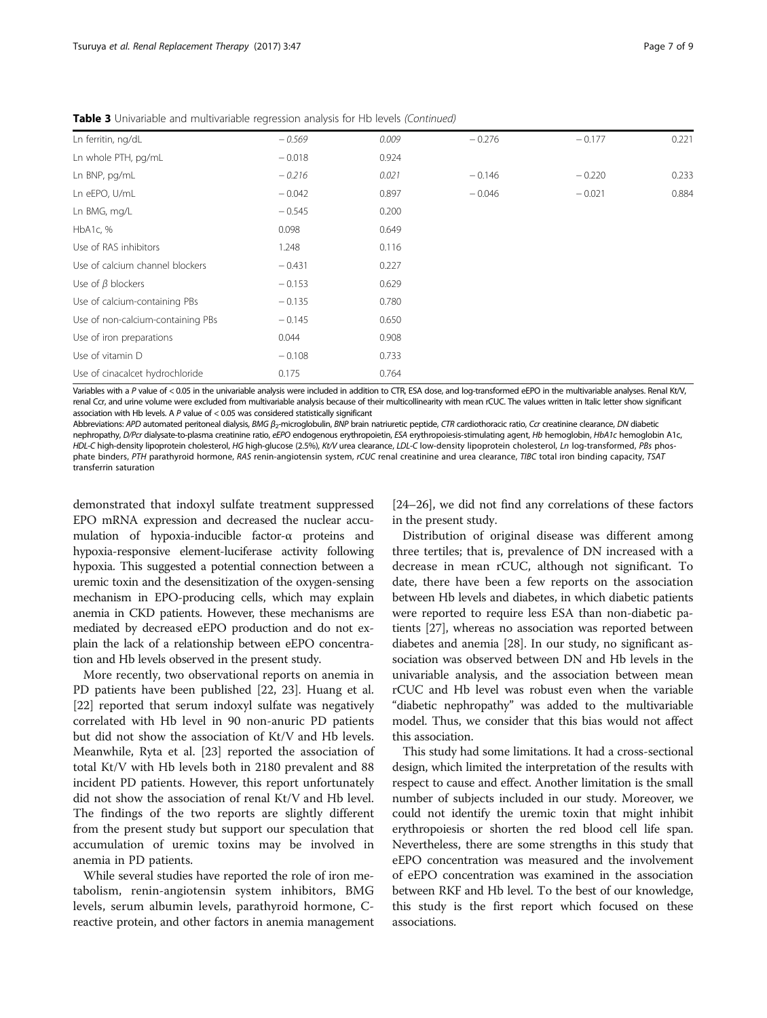| Ln ferritin, ng/dL                | $-0.569$ | 0.009 | $-0.276$ | $-0.177$ | 0.221 |
|-----------------------------------|----------|-------|----------|----------|-------|
| Ln whole PTH, pg/mL               | $-0.018$ | 0.924 |          |          |       |
| Ln BNP, pg/mL                     | $-0.216$ | 0.021 | $-0.146$ | $-0.220$ | 0.233 |
| Ln eEPO, U/mL                     | $-0.042$ | 0.897 | $-0.046$ | $-0.021$ | 0.884 |
| Ln BMG, mg/L                      | $-0.545$ | 0.200 |          |          |       |
| HbA1c, %                          | 0.098    | 0.649 |          |          |       |
| Use of RAS inhibitors             | 1.248    | 0.116 |          |          |       |
| Use of calcium channel blockers   | $-0.431$ | 0.227 |          |          |       |
| Use of $\beta$ blockers           | $-0.153$ | 0.629 |          |          |       |
| Use of calcium-containing PBs     | $-0.135$ | 0.780 |          |          |       |
| Use of non-calcium-containing PBs | $-0.145$ | 0.650 |          |          |       |
| Use of iron preparations          | 0.044    | 0.908 |          |          |       |
| Use of vitamin D                  | $-0.108$ | 0.733 |          |          |       |
| Use of cinacalcet hydrochloride   | 0.175    | 0.764 |          |          |       |

Table 3 Univariable and multivariable regression analysis for Hb levels (Continued)

Variables with a P value of < 0.05 in the univariable analysis were included in addition to CTR, ESA dose, and log-transformed eEPO in the multivariable analyses. Renal Kt/V, renal Ccr, and urine volume were excluded from multivariable analysis because of their multicollinearity with mean rCUC. The values written in Italic letter show significant association with Hb levels. A  $P$  value of  $<$  0.05 was considered statistically significant

Abbreviations: APD automated peritoneal dialysis, BMG  $\beta$ <sub>2</sub>-microglobulin, BNP brain natriuretic peptide, CTR cardiothoracic ratio, Ccr creatinine clearance, DN diabetic nephropathy, D/Pcr dialysate-to-plasma creatinine ratio, eEPO endogenous erythropoietin, ESA erythropoiesis-stimulating agent, Hb hemoglobin, HbA1c hemoglobin A1c, HDL-C high-density lipoprotein cholesterol, HG high-glucose (2.5%), Kt/V urea clearance, LDL-C low-density lipoprotein cholesterol, Ln log-transformed, PBs phosphate binders, PTH parathyroid hormone, RAS renin-angiotensin system, rCUC renal creatinine and urea clearance, TIBC total iron binding capacity, TSAT transferrin saturation

demonstrated that indoxyl sulfate treatment suppressed EPO mRNA expression and decreased the nuclear accumulation of hypoxia-inducible factor-α proteins and hypoxia-responsive element-luciferase activity following hypoxia. This suggested a potential connection between a uremic toxin and the desensitization of the oxygen-sensing mechanism in EPO-producing cells, which may explain anemia in CKD patients. However, these mechanisms are mediated by decreased eEPO production and do not explain the lack of a relationship between eEPO concentration and Hb levels observed in the present study.

More recently, two observational reports on anemia in PD patients have been published [[22,](#page-7-0) [23\]](#page-8-0). Huang et al. [[22\]](#page-7-0) reported that serum indoxyl sulfate was negatively correlated with Hb level in 90 non-anuric PD patients but did not show the association of Kt/V and Hb levels. Meanwhile, Ryta et al. [\[23](#page-8-0)] reported the association of total Kt/V with Hb levels both in 2180 prevalent and 88 incident PD patients. However, this report unfortunately did not show the association of renal Kt/V and Hb level. The findings of the two reports are slightly different from the present study but support our speculation that accumulation of uremic toxins may be involved in anemia in PD patients.

While several studies have reported the role of iron metabolism, renin-angiotensin system inhibitors, BMG levels, serum albumin levels, parathyroid hormone, Creactive protein, and other factors in anemia management

[[24](#page-8-0)–[26\]](#page-8-0), we did not find any correlations of these factors in the present study.

Distribution of original disease was different among three tertiles; that is, prevalence of DN increased with a decrease in mean rCUC, although not significant. To date, there have been a few reports on the association between Hb levels and diabetes, in which diabetic patients were reported to require less ESA than non-diabetic patients [\[27](#page-8-0)], whereas no association was reported between diabetes and anemia [\[28\]](#page-8-0). In our study, no significant association was observed between DN and Hb levels in the univariable analysis, and the association between mean rCUC and Hb level was robust even when the variable "diabetic nephropathy" was added to the multivariable model. Thus, we consider that this bias would not affect this association.

This study had some limitations. It had a cross-sectional design, which limited the interpretation of the results with respect to cause and effect. Another limitation is the small number of subjects included in our study. Moreover, we could not identify the uremic toxin that might inhibit erythropoiesis or shorten the red blood cell life span. Nevertheless, there are some strengths in this study that eEPO concentration was measured and the involvement of eEPO concentration was examined in the association between RKF and Hb level. To the best of our knowledge, this study is the first report which focused on these associations.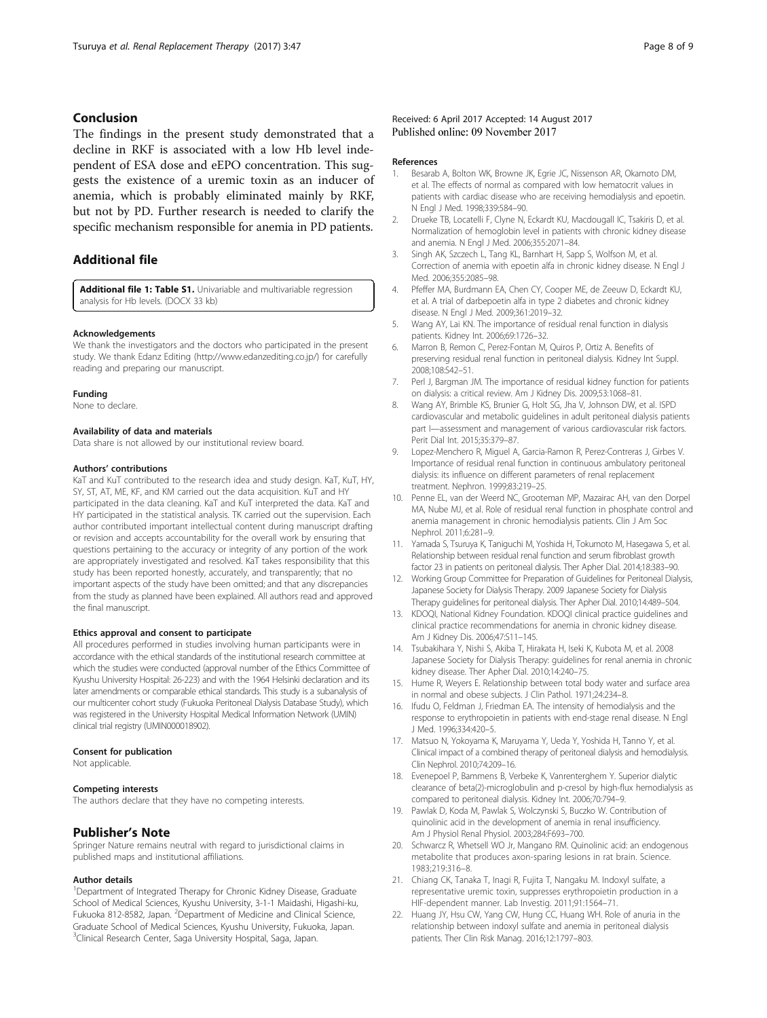# <span id="page-7-0"></span>Conclusion

The findings in the present study demonstrated that a decline in RKF is associated with a low Hb level independent of ESA dose and eEPO concentration. This suggests the existence of a uremic toxin as an inducer of anemia, which is probably eliminated mainly by RKF, but not by PD. Further research is needed to clarify the specific mechanism responsible for anemia in PD patients.

# Additional file

[Additional file 1: Table S1.](dx.doi.org/10.1186/s41100-017-0126-7) Univariable and multivariable regression analysis for Hb levels. (DOCX 33 kb)

## Acknowledgements

We thank the investigators and the doctors who participated in the present study. We thank Edanz Editing (<http://www.edanzediting.co.jp/>) for carefully reading and preparing our manuscript.

## Funding

None to declare.

## Availability of data and materials

Data share is not allowed by our institutional review board.

### Authors' contributions

KaT and KuT contributed to the research idea and study design. KaT, KuT, HY, SY, ST, AT, ME, KF, and KM carried out the data acquisition. KuT and HY participated in the data cleaning. KaT and KuT interpreted the data. KaT and HY participated in the statistical analysis. TK carried out the supervision. Each author contributed important intellectual content during manuscript drafting or revision and accepts accountability for the overall work by ensuring that questions pertaining to the accuracy or integrity of any portion of the work are appropriately investigated and resolved. KaT takes responsibility that this study has been reported honestly, accurately, and transparently; that no important aspects of the study have been omitted; and that any discrepancies from the study as planned have been explained. All authors read and approved the final manuscript.

## Ethics approval and consent to participate

All procedures performed in studies involving human participants were in accordance with the ethical standards of the institutional research committee at which the studies were conducted (approval number of the Ethics Committee of Kyushu University Hospital: 26-223) and with the 1964 Helsinki declaration and its later amendments or comparable ethical standards. This study is a subanalysis of our multicenter cohort study (Fukuoka Peritoneal Dialysis Database Study), which was registered in the University Hospital Medical Information Network (UMIN) clinical trial registry (UMIN000018902).

#### Consent for publication

Not applicable.

#### Competing interests

The authors declare that they have no competing interests.

## Publisher's Note

Springer Nature remains neutral with regard to jurisdictional claims in published maps and institutional affiliations.

#### Author details

<sup>1</sup>Department of Integrated Therapy for Chronic Kidney Disease, Graduate School of Medical Sciences, Kyushu University, 3-1-1 Maidashi, Higashi-ku, Fukuoka 812-8582, Japan. <sup>2</sup>Department of Medicine and Clinical Science, Graduate School of Medical Sciences, Kyushu University, Fukuoka, Japan. <sup>3</sup>Clinical Research Center, Saga University Hospital, Saga, Japan.

## Received: 6 April 2017 Accepted: 14 August 2017 Published online: 09 November 2017

#### References

- 1. Besarab A, Bolton WK, Browne JK, Egrie JC, Nissenson AR, Okamoto DM, et al. The effects of normal as compared with low hematocrit values in patients with cardiac disease who are receiving hemodialysis and epoetin. N Engl J Med. 1998;339:584–90.
- 2. Drueke TB, Locatelli F, Clyne N, Eckardt KU, Macdougall IC, Tsakiris D, et al. Normalization of hemoglobin level in patients with chronic kidney disease and anemia. N Engl J Med. 2006;355:2071–84.
- 3. Singh AK, Szczech L, Tang KL, Barnhart H, Sapp S, Wolfson M, et al. Correction of anemia with epoetin alfa in chronic kidney disease. N Engl J Med. 2006;355:2085–98.
- 4. Pfeffer MA, Burdmann EA, Chen CY, Cooper ME, de Zeeuw D, Eckardt KU, et al. A trial of darbepoetin alfa in type 2 diabetes and chronic kidney disease. N Engl J Med. 2009;361:2019–32.
- 5. Wang AY, Lai KN. The importance of residual renal function in dialysis patients. Kidney Int. 2006;69:1726–32.
- 6. Marron B, Remon C, Perez-Fontan M, Quiros P, Ortiz A. Benefits of preserving residual renal function in peritoneal dialysis. Kidney Int Suppl. 2008;108:S42–51.
- 7. Perl J, Bargman JM. The importance of residual kidney function for patients on dialysis: a critical review. Am J Kidney Dis. 2009;53:1068–81.
- 8. Wang AY, Brimble KS, Brunier G, Holt SG, Jha V, Johnson DW, et al. ISPD cardiovascular and metabolic guidelines in adult peritoneal dialysis patients part I—assessment and management of various cardiovascular risk factors. Perit Dial Int. 2015;35:379–87.
- 9. Lopez-Menchero R, Miguel A, Garcia-Ramon R, Perez-Contreras J, Girbes V. Importance of residual renal function in continuous ambulatory peritoneal dialysis: its influence on different parameters of renal replacement treatment. Nephron. 1999;83:219–25.
- 10. Penne EL, van der Weerd NC, Grooteman MP, Mazairac AH, van den Dorpel MA, Nube MJ, et al. Role of residual renal function in phosphate control and anemia management in chronic hemodialysis patients. Clin J Am Soc Nephrol. 2011;6:281–9.
- 11. Yamada S, Tsuruya K, Taniguchi M, Yoshida H, Tokumoto M, Hasegawa S, et al. Relationship between residual renal function and serum fibroblast growth factor 23 in patients on peritoneal dialysis. Ther Apher Dial. 2014;18:383–90.
- 12. Working Group Committee for Preparation of Guidelines for Peritoneal Dialysis, Japanese Society for Dialysis Therapy. 2009 Japanese Society for Dialysis Therapy guidelines for peritoneal dialysis. Ther Apher Dial. 2010;14:489–504.
- 13. KDOQI, National Kidney Foundation. KDOQI clinical practice guidelines and clinical practice recommendations for anemia in chronic kidney disease. Am J Kidney Dis. 2006;47:S11–145.
- 14. Tsubakihara Y, Nishi S, Akiba T, Hirakata H, Iseki K, Kubota M, et al. 2008 Japanese Society for Dialysis Therapy: guidelines for renal anemia in chronic kidney disease. Ther Apher Dial. 2010;14:240–75.
- 15. Hume R, Weyers E. Relationship between total body water and surface area in normal and obese subjects. J Clin Pathol. 1971;24:234–8.
- 16. Ifudu O, Feldman J, Friedman EA. The intensity of hemodialysis and the response to erythropoietin in patients with end-stage renal disease. N Engl J Med. 1996;334:420–5.
- 17. Matsuo N, Yokoyama K, Maruyama Y, Ueda Y, Yoshida H, Tanno Y, et al. Clinical impact of a combined therapy of peritoneal dialysis and hemodialysis. Clin Nephrol. 2010;74:209–16.
- 18. Evenepoel P, Bammens B, Verbeke K, Vanrenterghem Y. Superior dialytic clearance of beta(2)-microglobulin and p-cresol by high-flux hemodialysis as compared to peritoneal dialysis. Kidney Int. 2006;70:794–9.
- 19. Pawlak D, Koda M, Pawlak S, Wolczynski S, Buczko W. Contribution of quinolinic acid in the development of anemia in renal insufficiency. Am J Physiol Renal Physiol. 2003;284:F693–700.
- 20. Schwarcz R, Whetsell WO Jr, Mangano RM. Quinolinic acid: an endogenous metabolite that produces axon-sparing lesions in rat brain. Science. 1983;219:316–8.
- 21. Chiang CK, Tanaka T, Inagi R, Fujita T, Nangaku M. Indoxyl sulfate, a representative uremic toxin, suppresses erythropoietin production in a HIF-dependent manner. Lab Investig. 2011;91:1564–71.
- 22. Huang JY, Hsu CW, Yang CW, Hung CC, Huang WH. Role of anuria in the relationship between indoxyl sulfate and anemia in peritoneal dialysis patients. Ther Clin Risk Manag. 2016;12:1797–803.